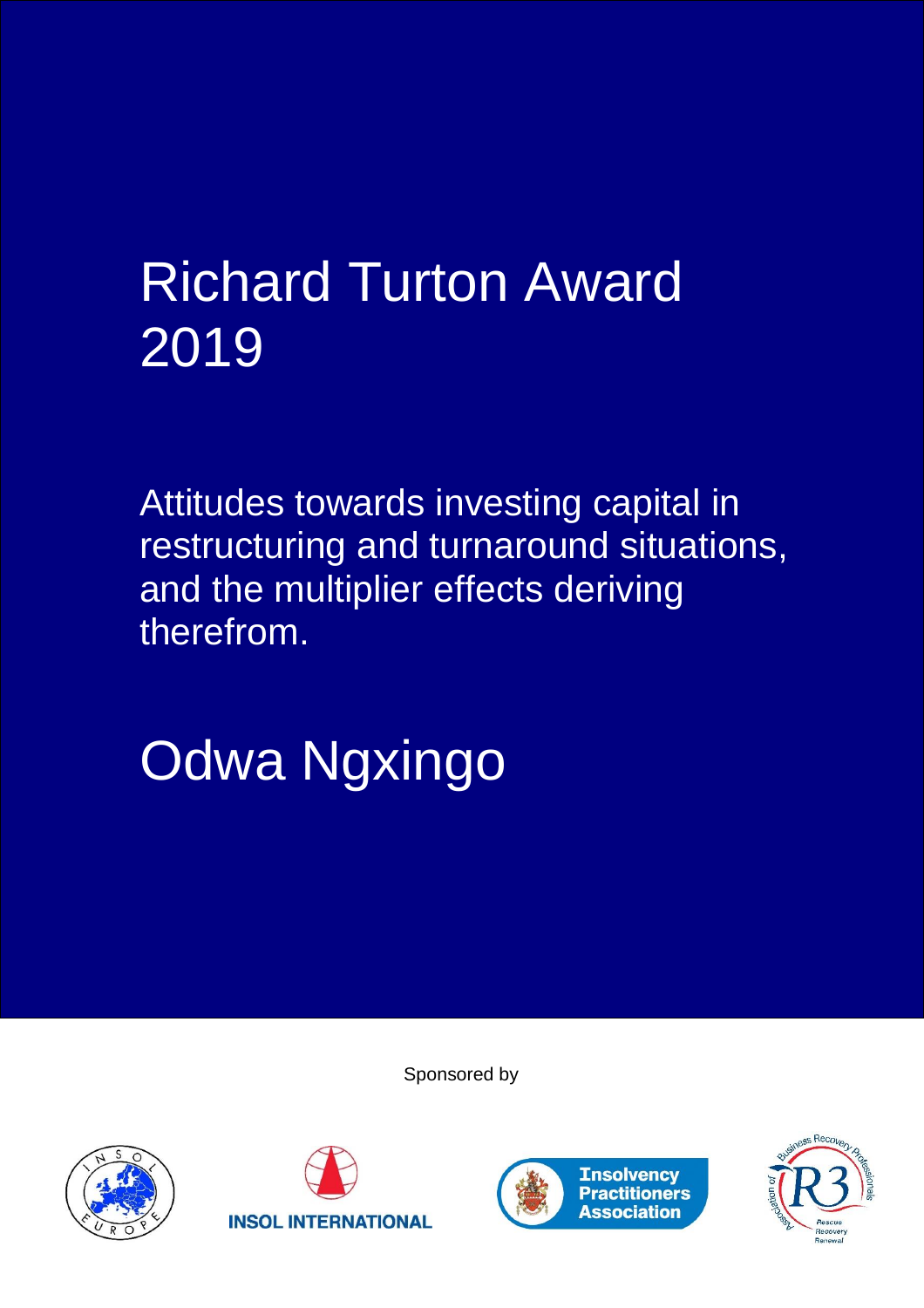## Richard Turton Award 2019

Attitudes towards investing capital in restructuring and turnaround situations, and the multiplier effects deriving therefrom.

# Odwa Ngxingo

Sponsored by







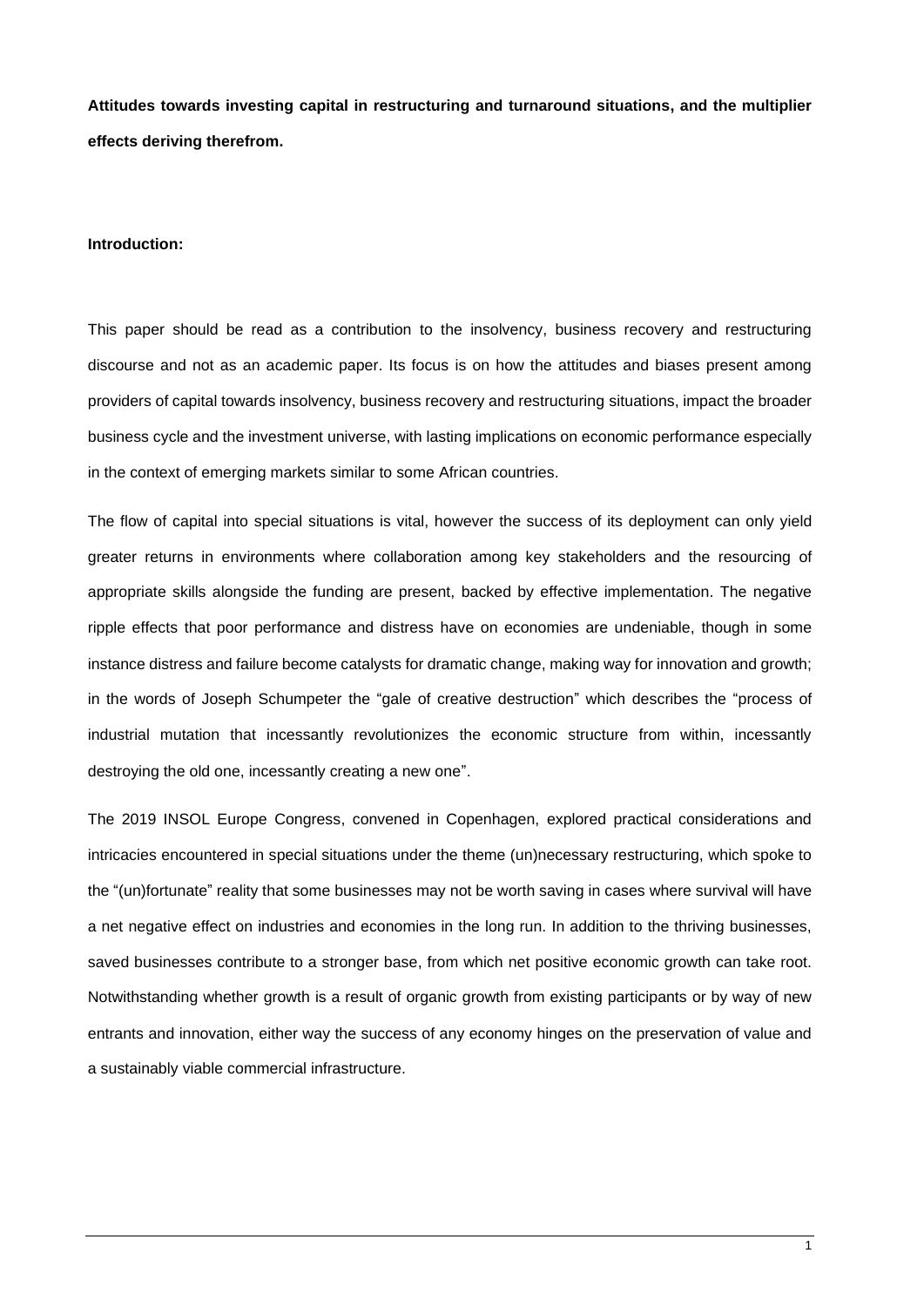**Attitudes towards investing capital in restructuring and turnaround situations, and the multiplier effects deriving therefrom.**

#### **Introduction:**

This paper should be read as a contribution to the insolvency, business recovery and restructuring discourse and not as an academic paper. Its focus is on how the attitudes and biases present among providers of capital towards insolvency, business recovery and restructuring situations, impact the broader business cycle and the investment universe, with lasting implications on economic performance especially in the context of emerging markets similar to some African countries.

The flow of capital into special situations is vital, however the success of its deployment can only yield greater returns in environments where collaboration among key stakeholders and the resourcing of appropriate skills alongside the funding are present, backed by effective implementation. The negative ripple effects that poor performance and distress have on economies are undeniable, though in some instance distress and failure become catalysts for dramatic change, making way for innovation and growth; in the words of Joseph Schumpeter the "gale of creative destruction" which describes the "process of industrial mutation that incessantly revolutionizes the economic structure from within, incessantly destroying the old one, incessantly creating a new one".

The 2019 INSOL Europe Congress, convened in Copenhagen, explored practical considerations and intricacies encountered in special situations under the theme (un)necessary restructuring, which spoke to the "(un)fortunate" reality that some businesses may not be worth saving in cases where survival will have a net negative effect on industries and economies in the long run. In addition to the thriving businesses, saved businesses contribute to a stronger base, from which net positive economic growth can take root. Notwithstanding whether growth is a result of organic growth from existing participants or by way of new entrants and innovation, either way the success of any economy hinges on the preservation of value and a sustainably viable commercial infrastructure.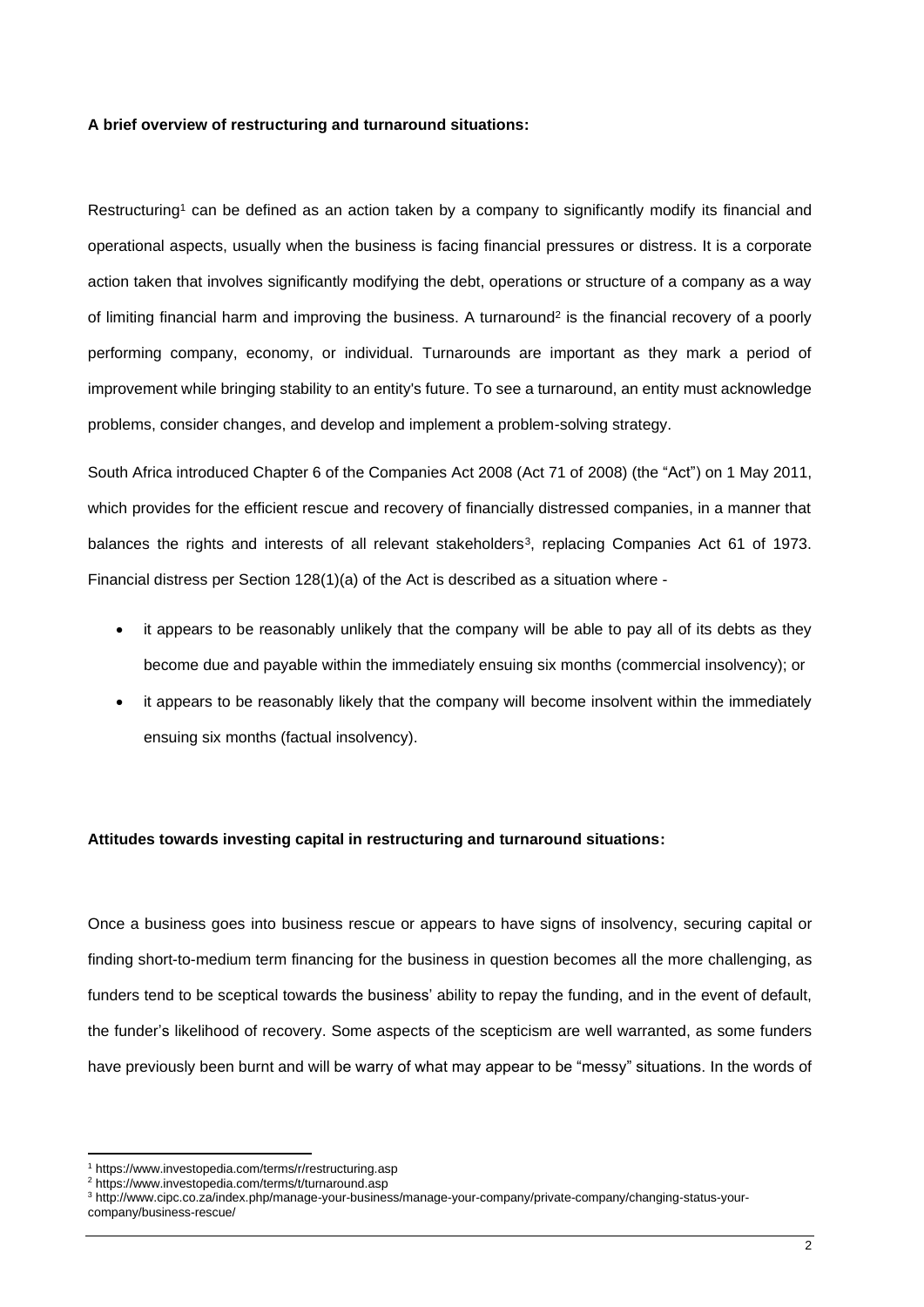## **A brief overview of restructuring and turnaround situations:**

Restructuring<sup>1</sup> can be defined as an action taken by a company to significantly modify its financial and operational aspects, usually when the business is facing financial pressures or distress. It is a corporate action taken that involves significantly modifying the debt, operations or structure of a company as a way of limiting financial harm and improving the business. A turnaround<sup>2</sup> is the financial recovery of a poorly performing company, economy, or individual. Turnarounds are important as they mark a period of improvement while bringing stability to an entity's future. To see a turnaround, an entity must acknowledge problems, consider changes, and develop and implement a problem-solving strategy.

South Africa introduced Chapter 6 of the Companies Act 2008 (Act 71 of 2008) (the "Act") on 1 May 2011, which provides for the efficient rescue and recovery of financially distressed companies, in a manner that balances the rights and interests of all relevant stakeholders<sup>3</sup>, replacing Companies Act 61 of 1973. Financial distress per Section 128(1)(a) of the Act is described as a situation where -

- it appears to be reasonably unlikely that the company will be able to pay all of its debts as they become due and payable within the immediately ensuing six months (commercial insolvency); or
- it appears to be reasonably likely that the company will become insolvent within the immediately ensuing six months (factual insolvency).

## **Attitudes towards investing capital in restructuring and turnaround situations:**

Once a business goes into business rescue or appears to have signs of insolvency, securing capital or finding short-to-medium term financing for the business in question becomes all the more challenging, as funders tend to be sceptical towards the business' ability to repay the funding, and in the event of default, the funder's likelihood of recovery. Some aspects of the scepticism are well warranted, as some funders have previously been burnt and will be warry of what may appear to be "messy" situations. In the words of

<sup>&</sup>lt;sup>1</sup> https://www.investopedia.com/terms/r/restructuring.asp

<sup>2</sup> https://www.investopedia.com/terms/t/turnaround.asp

<sup>3</sup> http://www.cipc.co.za/index.php/manage-your-business/manage-your-company/private-company/changing-status-yourcompany/business-rescue/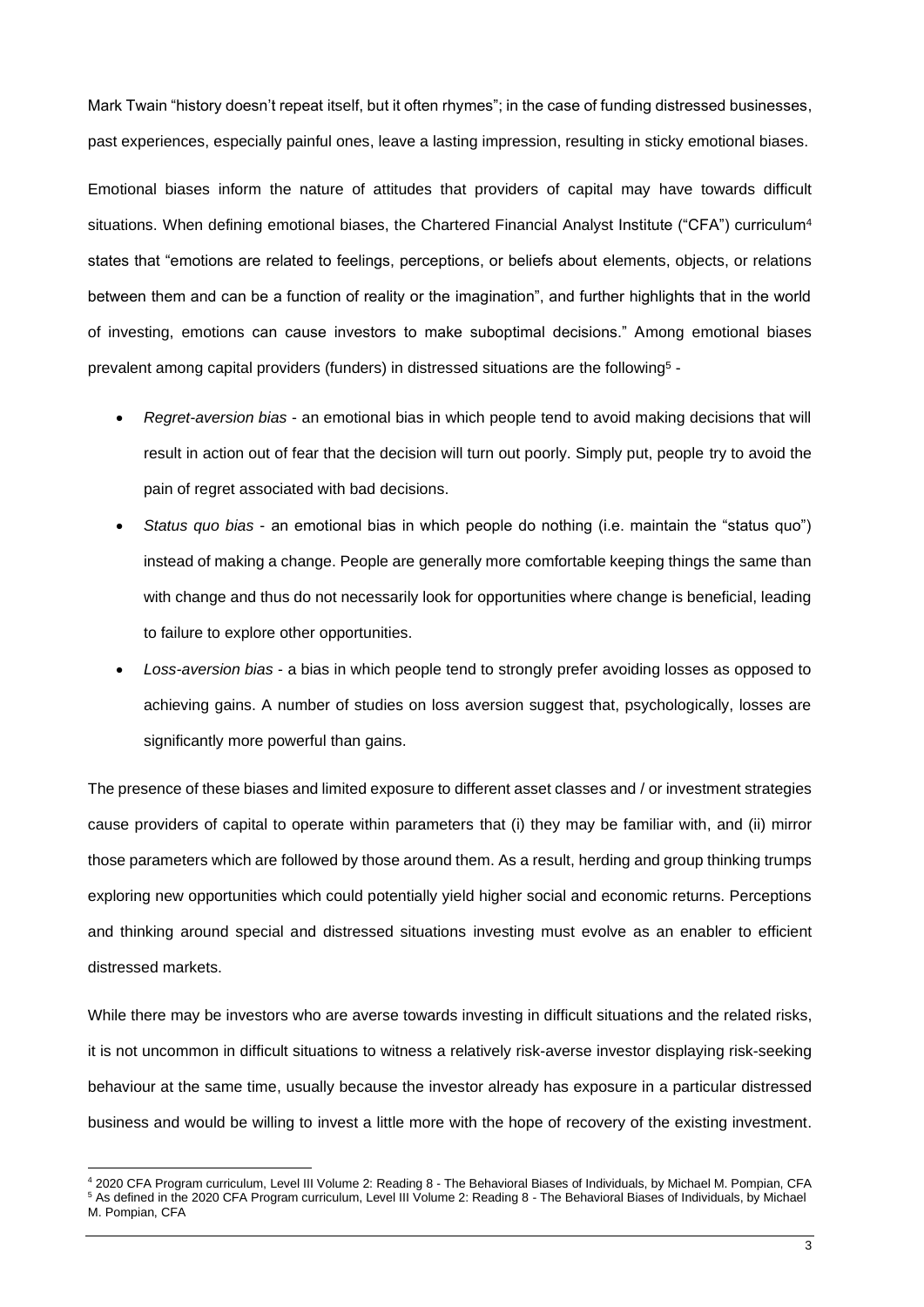Mark Twain "history doesn't repeat itself, but it often rhymes"; in the case of funding distressed businesses, past experiences, especially painful ones, leave a lasting impression, resulting in sticky emotional biases.

Emotional biases inform the nature of attitudes that providers of capital may have towards difficult situations. When defining emotional biases, the Chartered Financial Analyst Institute ("CFA") curriculum<sup>4</sup> states that "emotions are related to feelings, perceptions, or beliefs about elements, objects, or relations between them and can be a function of reality or the imagination", and further highlights that in the world of investing, emotions can cause investors to make suboptimal decisions." Among emotional biases prevalent among capital providers (funders) in distressed situations are the following<sup>5</sup> -

- *Regret-aversion bias* an emotional bias in which people tend to avoid making decisions that will result in action out of fear that the decision will turn out poorly. Simply put, people try to avoid the pain of regret associated with bad decisions.
- *Status quo bias* an emotional bias in which people do nothing (i.e. maintain the "status quo") instead of making a change. People are generally more comfortable keeping things the same than with change and thus do not necessarily look for opportunities where change is beneficial, leading to failure to explore other opportunities.
- *Loss-aversion bias* a bias in which people tend to strongly prefer avoiding losses as opposed to achieving gains. A number of studies on loss aversion suggest that, psychologically, losses are significantly more powerful than gains.

The presence of these biases and limited exposure to different asset classes and / or investment strategies cause providers of capital to operate within parameters that (i) they may be familiar with, and (ii) mirror those parameters which are followed by those around them. As a result, herding and group thinking trumps exploring new opportunities which could potentially yield higher social and economic returns. Perceptions and thinking around special and distressed situations investing must evolve as an enabler to efficient distressed markets.

While there may be investors who are averse towards investing in difficult situations and the related risks, it is not uncommon in difficult situations to witness a relatively risk-averse investor displaying risk-seeking behaviour at the same time, usually because the investor already has exposure in a particular distressed business and would be willing to invest a little more with the hope of recovery of the existing investment.

<sup>4</sup> 2020 CFA Program curriculum, Level III Volume 2: Reading 8 - The Behavioral Biases of Individuals, by Michael M. Pompian, CFA <sup>5</sup> As defined in the 2020 CFA Program curriculum, Level III Volume 2: Reading 8 - The Behavioral Biases of Individuals, by Michael M. Pompian, CFA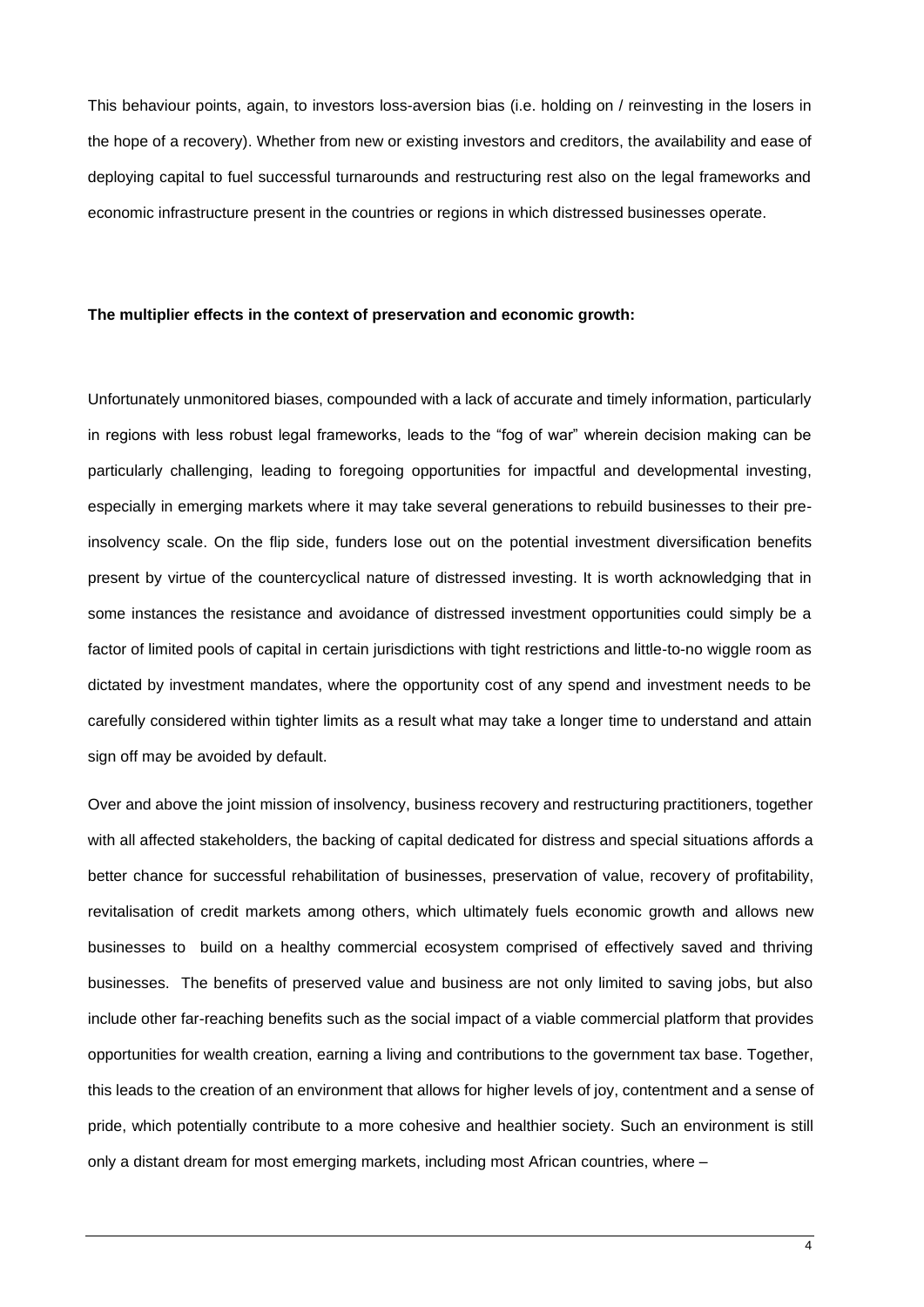This behaviour points, again, to investors loss-aversion bias (i.e. holding on / reinvesting in the losers in the hope of a recovery). Whether from new or existing investors and creditors, the availability and ease of deploying capital to fuel successful turnarounds and restructuring rest also on the legal frameworks and economic infrastructure present in the countries or regions in which distressed businesses operate.

#### **The multiplier effects in the context of preservation and economic growth:**

Unfortunately unmonitored biases, compounded with a lack of accurate and timely information, particularly in regions with less robust legal frameworks, leads to the "fog of war" wherein decision making can be particularly challenging, leading to foregoing opportunities for impactful and developmental investing, especially in emerging markets where it may take several generations to rebuild businesses to their preinsolvency scale. On the flip side, funders lose out on the potential investment diversification benefits present by virtue of the countercyclical nature of distressed investing. It is worth acknowledging that in some instances the resistance and avoidance of distressed investment opportunities could simply be a factor of limited pools of capital in certain jurisdictions with tight restrictions and little-to-no wiggle room as dictated by investment mandates, where the opportunity cost of any spend and investment needs to be carefully considered within tighter limits as a result what may take a longer time to understand and attain sign off may be avoided by default.

Over and above the joint mission of insolvency, business recovery and restructuring practitioners, together with all affected stakeholders, the backing of capital dedicated for distress and special situations affords a better chance for successful rehabilitation of businesses, preservation of value, recovery of profitability, revitalisation of credit markets among others, which ultimately fuels economic growth and allows new businesses to build on a healthy commercial ecosystem comprised of effectively saved and thriving businesses. The benefits of preserved value and business are not only limited to saving jobs, but also include other far-reaching benefits such as the social impact of a viable commercial platform that provides opportunities for wealth creation, earning a living and contributions to the government tax base. Together, this leads to the creation of an environment that allows for higher levels of joy, contentment and a sense of pride, which potentially contribute to a more cohesive and healthier society. Such an environment is still only a distant dream for most emerging markets, including most African countries, where –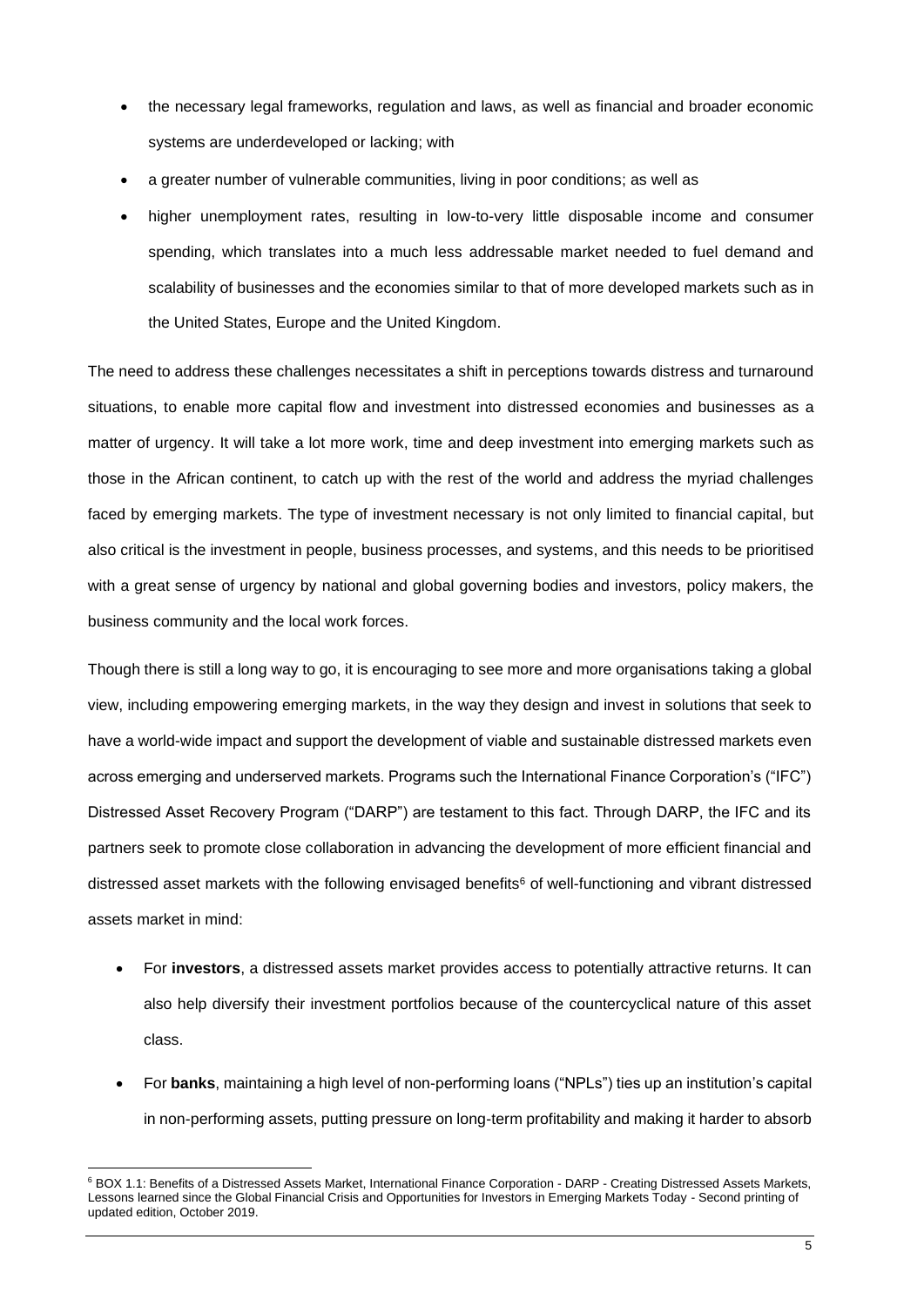- the necessary legal frameworks, regulation and laws, as well as financial and broader economic systems are underdeveloped or lacking; with
- a greater number of vulnerable communities, living in poor conditions; as well as
- higher unemployment rates, resulting in low-to-very little disposable income and consumer spending, which translates into a much less addressable market needed to fuel demand and scalability of businesses and the economies similar to that of more developed markets such as in the United States, Europe and the United Kingdom.

The need to address these challenges necessitates a shift in perceptions towards distress and turnaround situations, to enable more capital flow and investment into distressed economies and businesses as a matter of urgency. It will take a lot more work, time and deep investment into emerging markets such as those in the African continent, to catch up with the rest of the world and address the myriad challenges faced by emerging markets. The type of investment necessary is not only limited to financial capital, but also critical is the investment in people, business processes, and systems, and this needs to be prioritised with a great sense of urgency by national and global governing bodies and investors, policy makers, the business community and the local work forces.

Though there is still a long way to go, it is encouraging to see more and more organisations taking a global view, including empowering emerging markets, in the way they design and invest in solutions that seek to have a world-wide impact and support the development of viable and sustainable distressed markets even across emerging and underserved markets. Programs such the International Finance Corporation's ("IFC") Distressed Asset Recovery Program ("DARP") are testament to this fact. Through DARP, the IFC and its partners seek to promote close collaboration in advancing the development of more efficient financial and distressed asset markets with the following envisaged benefits<sup>6</sup> of well-functioning and vibrant distressed assets market in mind:

- For **investors**, a distressed assets market provides access to potentially attractive returns. It can also help diversify their investment portfolios because of the countercyclical nature of this asset class.
- For **banks**, maintaining a high level of non-performing loans ("NPLs") ties up an institution's capital in non-performing assets, putting pressure on long-term profitability and making it harder to absorb

<sup>&</sup>lt;sup>6</sup> BOX 1.1: Benefits of a Distressed Assets Market, International Finance Corporation - DARP - Creating Distressed Assets Markets, Lessons learned since the Global Financial Crisis and Opportunities for Investors in Emerging Markets Today - Second printing of updated edition, October 2019.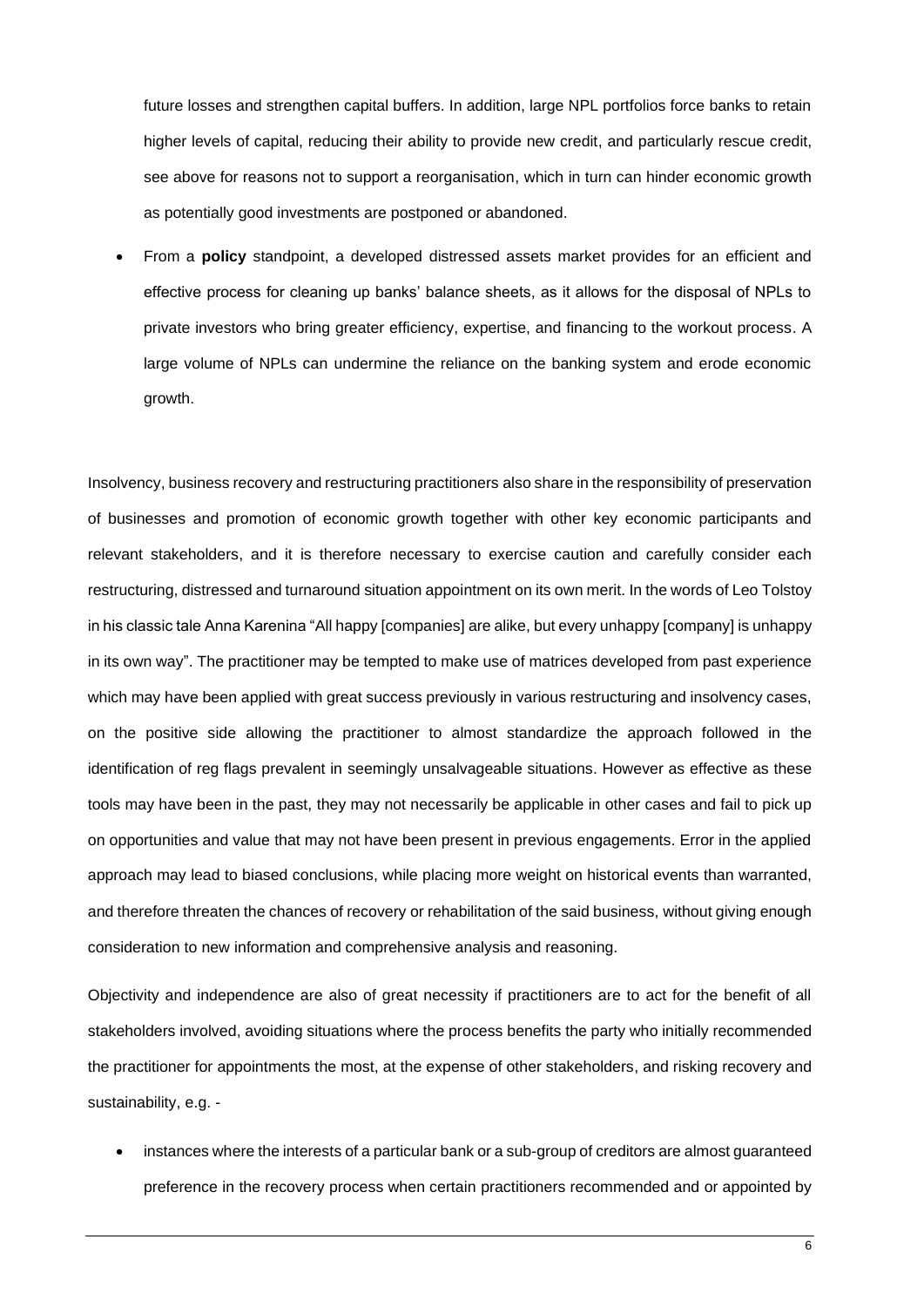future losses and strengthen capital buffers. In addition, large NPL portfolios force banks to retain higher levels of capital, reducing their ability to provide new credit, and particularly rescue credit, see above for reasons not to support a reorganisation, which in turn can hinder economic growth as potentially good investments are postponed or abandoned.

• From a **policy** standpoint, a developed distressed assets market provides for an efficient and effective process for cleaning up banks' balance sheets, as it allows for the disposal of NPLs to private investors who bring greater efficiency, expertise, and financing to the workout process. A large volume of NPLs can undermine the reliance on the banking system and erode economic growth.

Insolvency, business recovery and restructuring practitioners also share in the responsibility of preservation of businesses and promotion of economic growth together with other key economic participants and relevant stakeholders, and it is therefore necessary to exercise caution and carefully consider each restructuring, distressed and turnaround situation appointment on its own merit. In the words of Leo Tolstoy in his classic tale Anna Karenina "All happy [companies] are alike, but every unhappy [company] is unhappy in its own way". The practitioner may be tempted to make use of matrices developed from past experience which may have been applied with great success previously in various restructuring and insolvency cases, on the positive side allowing the practitioner to almost standardize the approach followed in the identification of reg flags prevalent in seemingly unsalvageable situations. However as effective as these tools may have been in the past, they may not necessarily be applicable in other cases and fail to pick up on opportunities and value that may not have been present in previous engagements. Error in the applied approach may lead to biased conclusions, while placing more weight on historical events than warranted, and therefore threaten the chances of recovery or rehabilitation of the said business, without giving enough consideration to new information and comprehensive analysis and reasoning.

Objectivity and independence are also of great necessity if practitioners are to act for the benefit of all stakeholders involved, avoiding situations where the process benefits the party who initially recommended the practitioner for appointments the most, at the expense of other stakeholders, and risking recovery and sustainability, e.g. -

• instances where the interests of a particular bank or a sub-group of creditors are almost guaranteed preference in the recovery process when certain practitioners recommended and or appointed by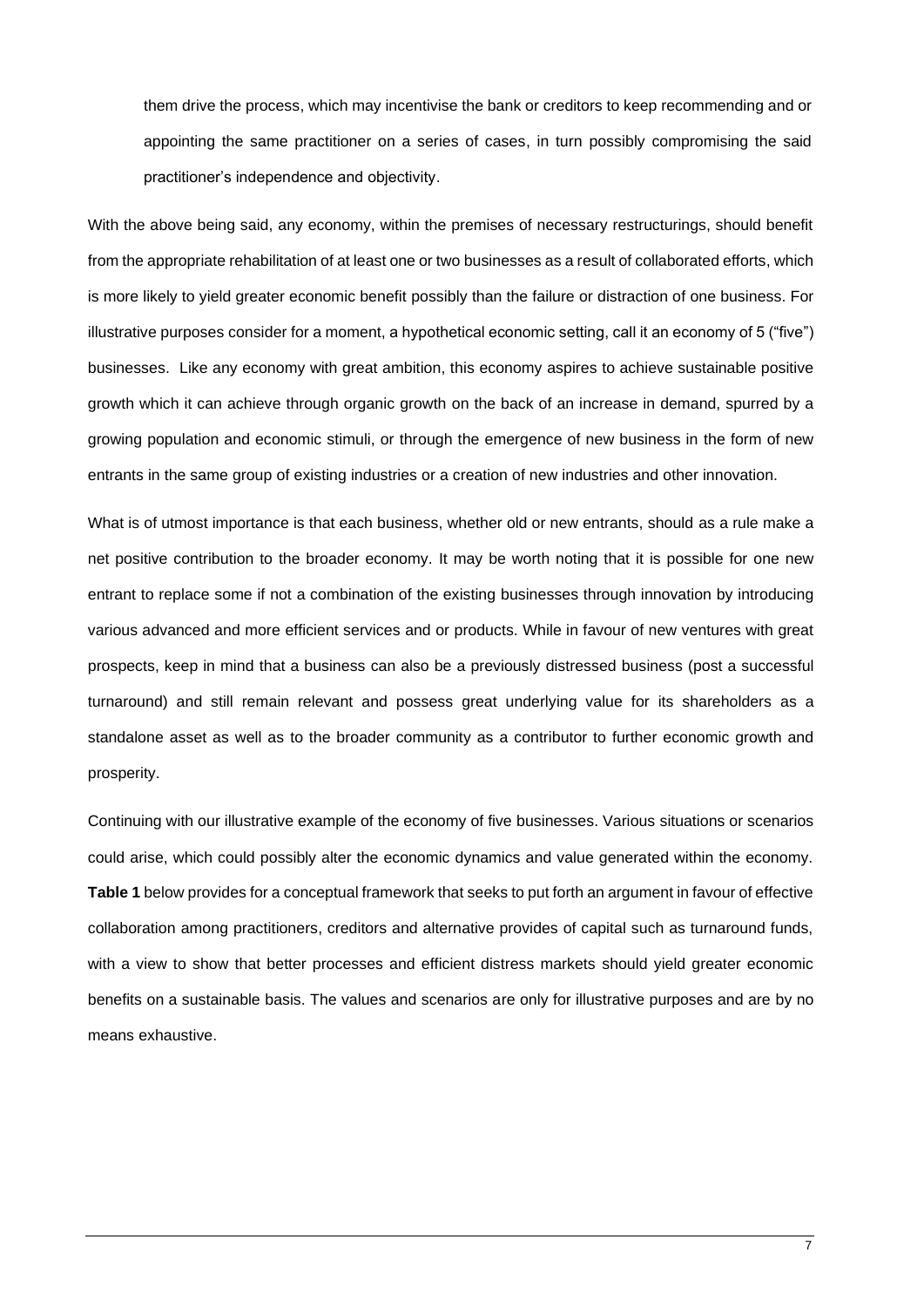them drive the process, which may incentivise the bank or creditors to keep recommending and or appointing the same practitioner on a series of cases, in turn possibly compromising the said practitioner's independence and objectivity.

With the above being said, any economy, within the premises of necessary restructurings, should benefit from the appropriate rehabilitation of at least one or two businesses as a result of collaborated efforts, which is more likely to yield greater economic benefit possibly than the failure or distraction of one business. For illustrative purposes consider for a moment, a hypothetical economic setting, call it an economy of 5 ("five") businesses. Like any economy with great ambition, this economy aspires to achieve sustainable positive growth which it can achieve through organic growth on the back of an increase in demand, spurred by a growing population and economic stimuli, or through the emergence of new business in the form of new entrants in the same group of existing industries or a creation of new industries and other innovation.

What is of utmost importance is that each business, whether old or new entrants, should as a rule make a net positive contribution to the broader economy. It may be worth noting that it is possible for one new entrant to replace some if not a combination of the existing businesses through innovation by introducing various advanced and more efficient services and or products. While in favour of new ventures with great prospects, keep in mind that a business can also be a previously distressed business (post a successful turnaround) and still remain relevant and possess great underlying value for its shareholders as a standalone asset as well as to the broader community as a contributor to further economic growth and prosperity.

Continuing with our illustrative example of the economy of five businesses. Various situations or scenarios could arise, which could possibly alter the economic dynamics and value generated within the economy. **Table 1** below provides for a conceptual framework that seeks to put forth an argument in favour of effective collaboration among practitioners, creditors and alternative provides of capital such as turnaround funds, with a view to show that better processes and efficient distress markets should yield greater economic benefits on a sustainable basis. The values and scenarios are only for illustrative purposes and are by no means exhaustive.

7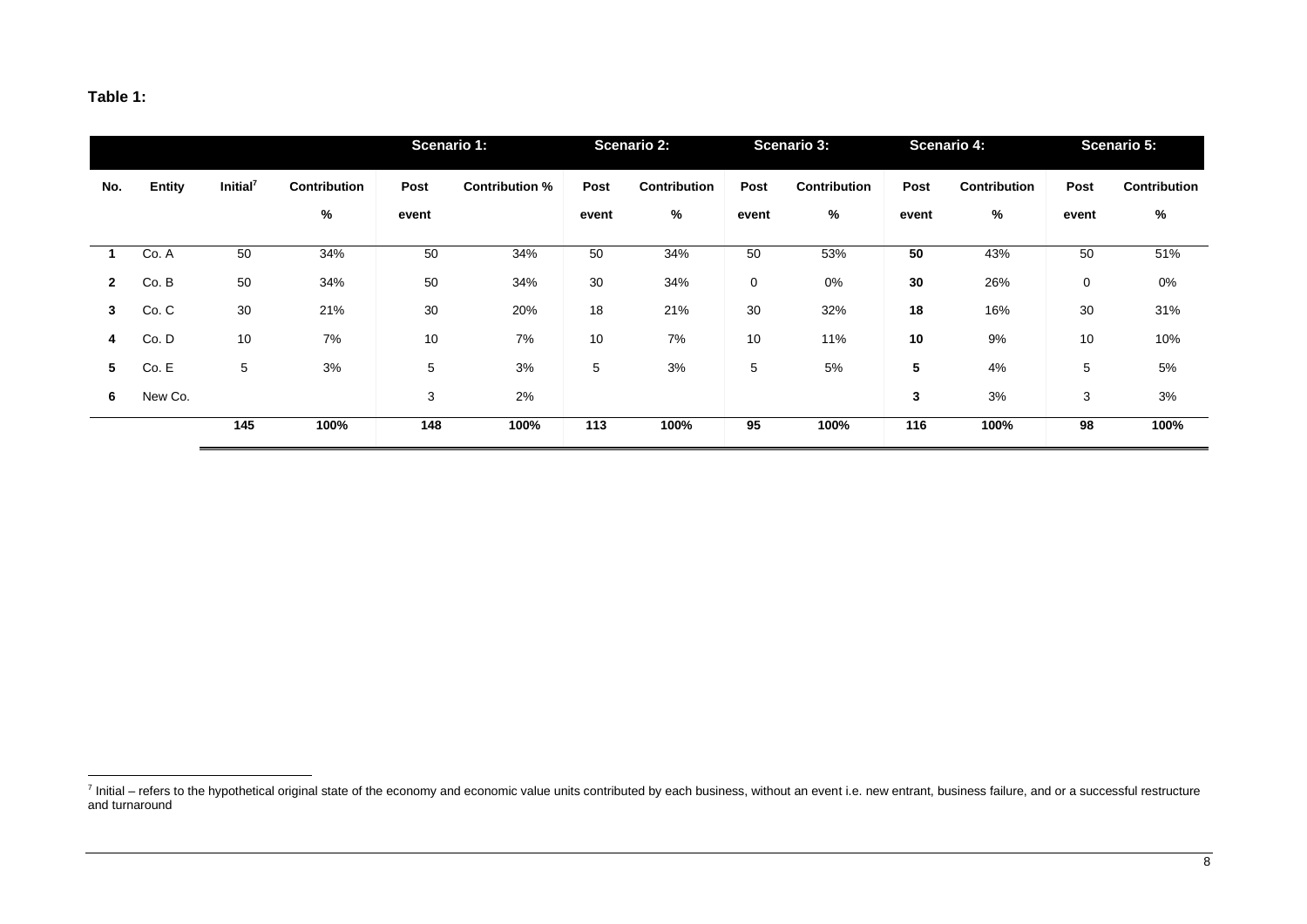## **Table 1:**

|              |               |                      |              | <b>Scenario 1:</b> |                       | <b>Scenario 2:</b> |                     | <b>Scenario 3:</b> |              | <b>Scenario 4:</b> |              | Scenario 5: |              |
|--------------|---------------|----------------------|--------------|--------------------|-----------------------|--------------------|---------------------|--------------------|--------------|--------------------|--------------|-------------|--------------|
| No.          | <b>Entity</b> | Initial <sup>7</sup> | Contribution | Post               | <b>Contribution %</b> | Post               | <b>Contribution</b> | Post               | Contribution | Post               | Contribution | Post        | Contribution |
|              |               |                      | %            | event              |                       | event              | %                   | event              | %            | event              | %            | event       | %            |
|              | Co. A         | 50                   | 34%          | 50                 | 34%                   | 50                 | 34%                 | 50                 | 53%          | 50                 | 43%          | 50          | 51%          |
| $\mathbf{2}$ | Co. B         | 50                   | 34%          | 50                 | 34%                   | 30                 | 34%                 | 0                  | 0%           | 30                 | 26%          | 0           | 0%           |
| $\mathbf{3}$ | Co. C         | 30                   | 21%          | 30                 | 20%                   | 18                 | 21%                 | 30                 | 32%          | 18                 | 16%          | 30          | 31%          |
| 4            | Co.D          | 10                   | 7%           | 10                 | 7%                    | 10                 | 7%                  | 10                 | 11%          | 10                 | 9%           | 10          | 10%          |
| 5            | Co. E         | 5                    | 3%           | 5                  | 3%                    | 5                  | 3%                  | 5                  | 5%           | 5                  | 4%           | 5           | 5%           |
| 6            | New Co.       |                      |              | 3                  | 2%                    |                    |                     |                    |              | 3                  | 3%           | 3           | 3%           |
|              |               | 145                  | 100%         | 148                | 100%                  | 113                | 100%                | 95                 | 100%         | 116                | 100%         | 98          | 100%         |

<sup>&</sup>lt;sup>7</sup> Initial – refers to the hypothetical original state of the economy and economic value units contributed by each business, without an event i.e. new entrant, business failure, and or a successful restructure and turnaround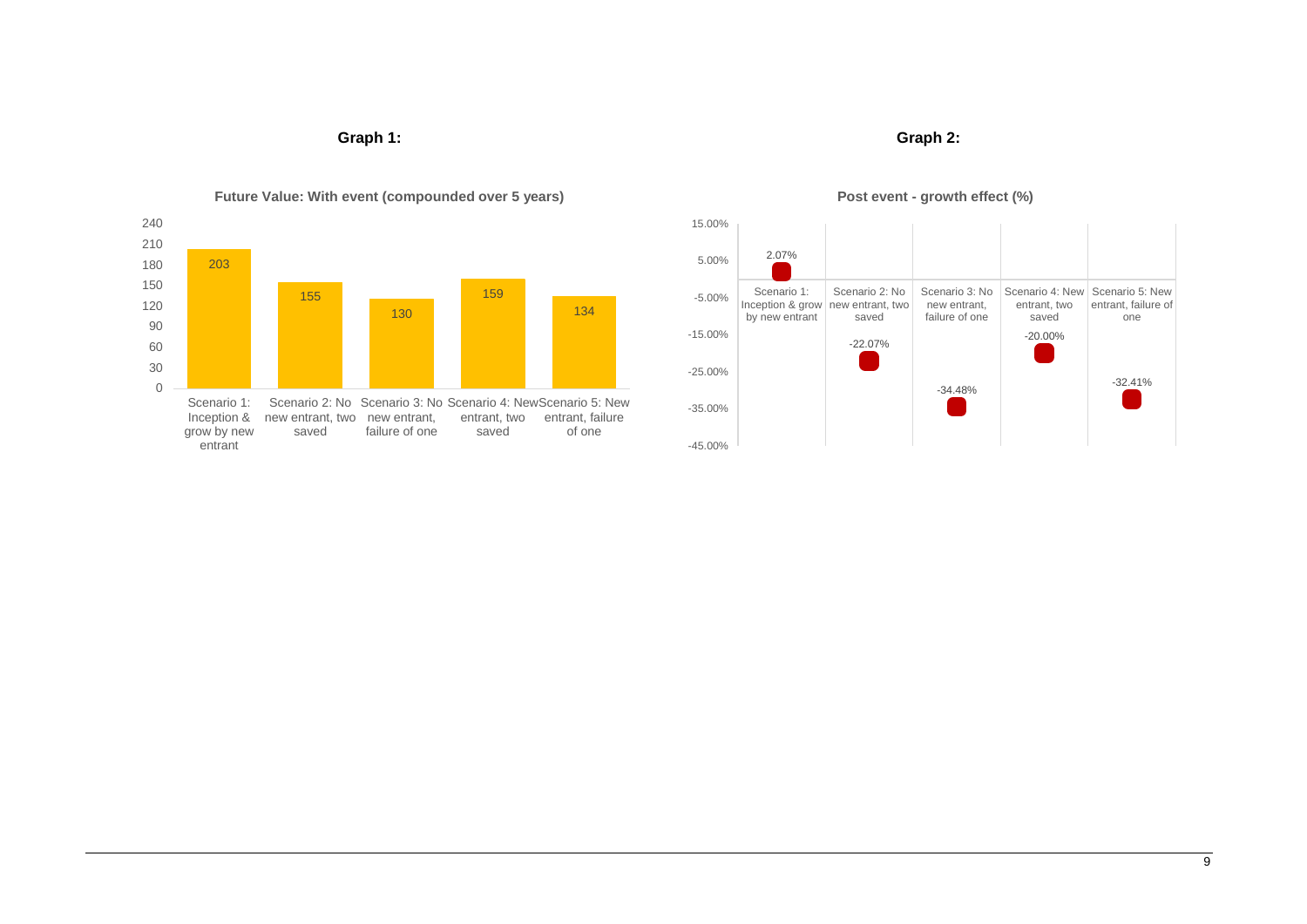## **Graph 1: Graph 2:**



## **Future Value: With event (compounded over 5 years)**



## **Post event - growth effect (%)**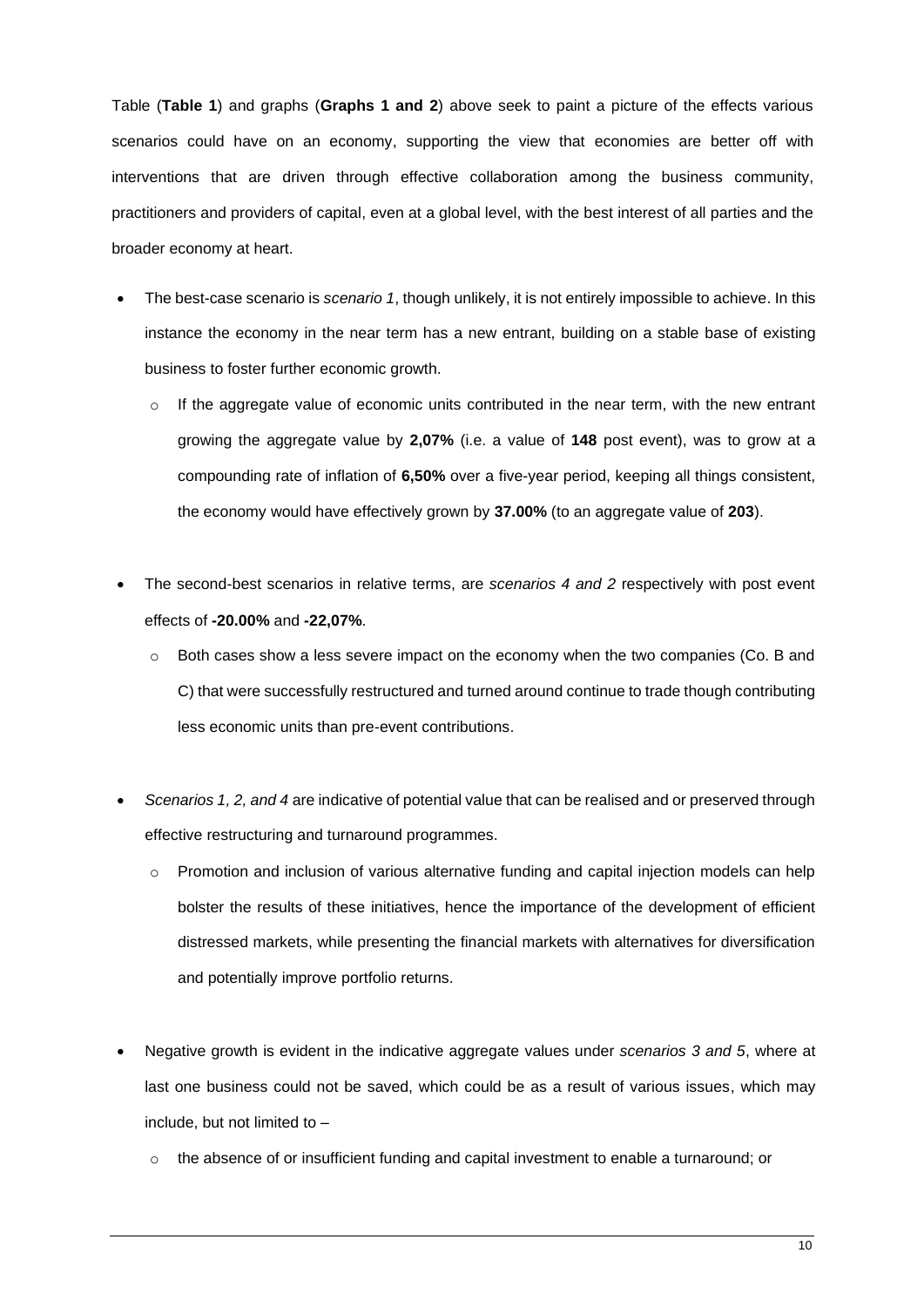Table (**Table 1**) and graphs (**Graphs 1 and 2**) above seek to paint a picture of the effects various scenarios could have on an economy, supporting the view that economies are better off with interventions that are driven through effective collaboration among the business community, practitioners and providers of capital, even at a global level, with the best interest of all parties and the broader economy at heart.

- The best-case scenario is *scenario 1*, though unlikely, it is not entirely impossible to achieve. In this instance the economy in the near term has a new entrant, building on a stable base of existing business to foster further economic growth.
	- $\circ$  If the aggregate value of economic units contributed in the near term, with the new entrant growing the aggregate value by **2,07%** (i.e. a value of **148** post event), was to grow at a compounding rate of inflation of **6,50%** over a five-year period, keeping all things consistent, the economy would have effectively grown by **37.00%** (to an aggregate value of **203**).
- The second-best scenarios in relative terms, are *scenarios 4 and 2* respectively with post event effects of **-20.00%** and **-22,07%**.
	- o Both cases show a less severe impact on the economy when the two companies (Co. B and C) that were successfully restructured and turned around continue to trade though contributing less economic units than pre-event contributions.
- *Scenarios 1, 2, and 4* are indicative of potential value that can be realised and or preserved through effective restructuring and turnaround programmes.
	- $\circ$  Promotion and inclusion of various alternative funding and capital injection models can help bolster the results of these initiatives, hence the importance of the development of efficient distressed markets, while presenting the financial markets with alternatives for diversification and potentially improve portfolio returns.
- Negative growth is evident in the indicative aggregate values under *scenarios 3 and 5*, where at last one business could not be saved, which could be as a result of various issues, which may include, but not limited to –
	- $\circ$  the absence of or insufficient funding and capital investment to enable a turnaround; or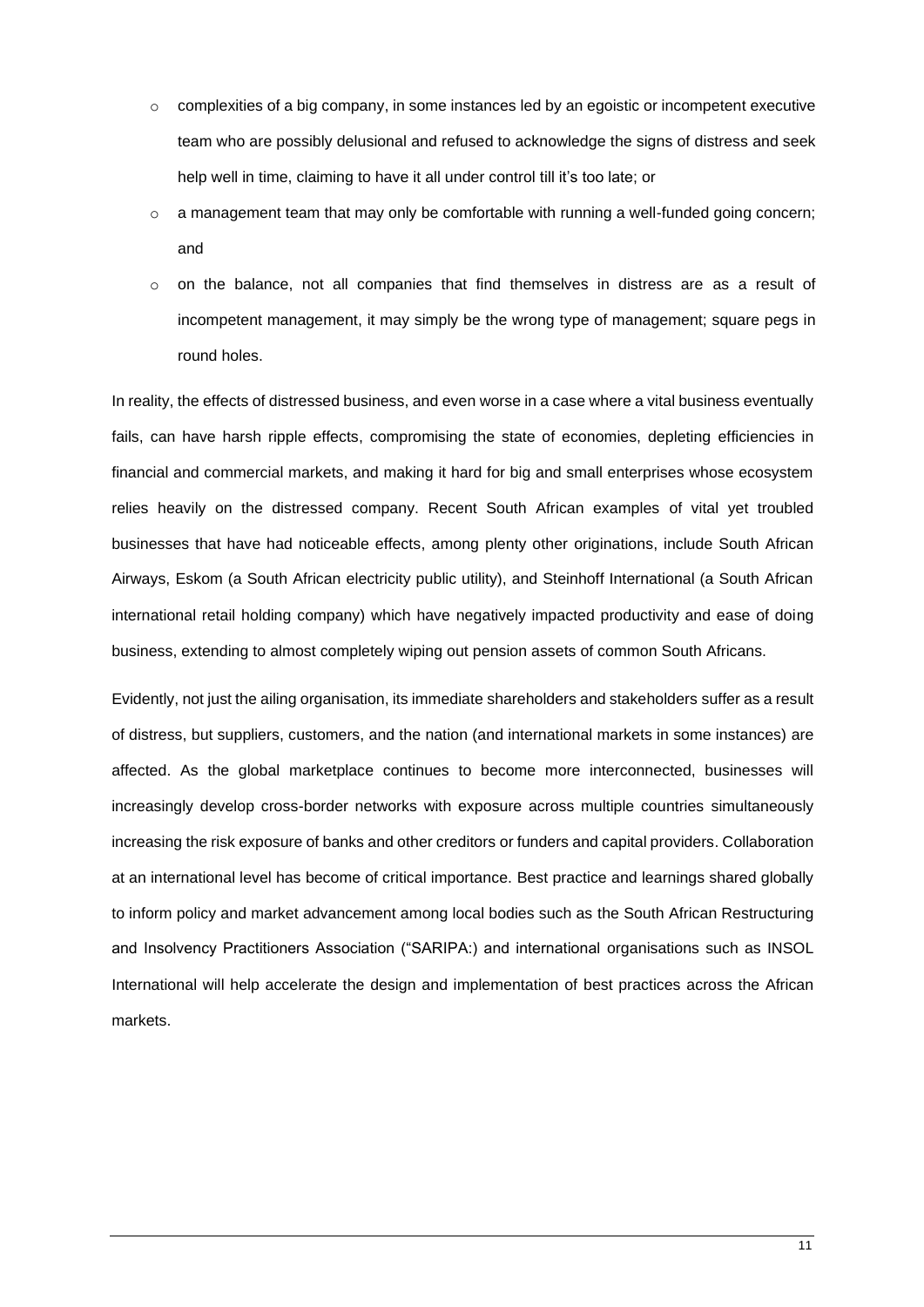- $\circ$  complexities of a big company, in some instances led by an egoistic or incompetent executive team who are possibly delusional and refused to acknowledge the signs of distress and seek help well in time, claiming to have it all under control till it's too late; or
- $\circ$  a management team that may only be comfortable with running a well-funded going concern; and
- $\circ$  on the balance, not all companies that find themselves in distress are as a result of incompetent management, it may simply be the wrong type of management; square pegs in round holes.

In reality, the effects of distressed business, and even worse in a case where a vital business eventually fails, can have harsh ripple effects, compromising the state of economies, depleting efficiencies in financial and commercial markets, and making it hard for big and small enterprises whose ecosystem relies heavily on the distressed company. Recent South African examples of vital yet troubled businesses that have had noticeable effects, among plenty other originations, include South African Airways, Eskom (a South African electricity public utility), and Steinhoff International (a South African international retail holding company) which have negatively impacted productivity and ease of doing business, extending to almost completely wiping out pension assets of common South Africans.

Evidently, not just the ailing organisation, its immediate shareholders and stakeholders suffer as a result of distress, but suppliers, customers, and the nation (and international markets in some instances) are affected. As the global marketplace continues to become more interconnected, businesses will increasingly develop cross-border networks with exposure across multiple countries simultaneously increasing the risk exposure of banks and other creditors or funders and capital providers. Collaboration at an international level has become of critical importance. Best practice and learnings shared globally to inform policy and market advancement among local bodies such as the South African Restructuring and Insolvency Practitioners Association ("SARIPA:) and international organisations such as INSOL International will help accelerate the design and implementation of best practices across the African markets.